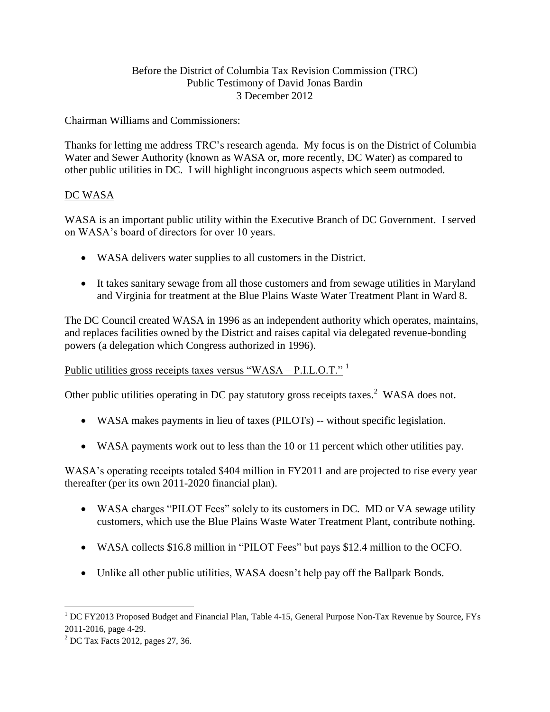#### Before the District of Columbia Tax Revision Commission (TRC) Public Testimony of David Jonas Bardin 3 December 2012

Chairman Williams and Commissioners:

Thanks for letting me address TRC's research agenda. My focus is on the District of Columbia Water and Sewer Authority (known as WASA or, more recently, DC Water) as compared to other public utilities in DC. I will highlight incongruous aspects which seem outmoded.

## DC WASA

WASA is an important public utility within the Executive Branch of DC Government. I served on WASA's board of directors for over 10 years.

- WASA delivers water supplies to all customers in the District.
- It takes sanitary sewage from all those customers and from sewage utilities in Maryland and Virginia for treatment at the Blue Plains Waste Water Treatment Plant in Ward 8.

The DC Council created WASA in 1996 as an independent authority which operates, maintains, and replaces facilities owned by the District and raises capital via delegated revenue-bonding powers (a delegation which Congress authorized in 1996).

# Public utilities gross receipts taxes versus "WASA – P.I.L.O.T."<sup>1</sup>

Other public utilities operating in DC pay statutory gross receipts taxes.<sup>2</sup> WASA does not.

- WASA makes payments in lieu of taxes (PILOTs) -- without specific legislation.
- WASA payments work out to less than the 10 or 11 percent which other utilities pay.

WASA's operating receipts totaled \$404 million in FY2011 and are projected to rise every year thereafter (per its own 2011-2020 financial plan).

- WASA charges "PILOT Fees" solely to its customers in DC. MD or VA sewage utility customers, which use the Blue Plains Waste Water Treatment Plant, contribute nothing.
- WASA collects \$16.8 million in "PILOT Fees" but pays \$12.4 million to the OCFO.
- Unlike all other public utilities, WASA doesn't help pay off the Ballpark Bonds.

 $\overline{\phantom{a}}$  $1\overline{DC}$  FY2013 Proposed Budget and Financial Plan, Table 4-15, General Purpose Non-Tax Revenue by Source, FYs 2011-2016, page 4-29.

 $2^{\circ}$  DC Tax Facts 2012, pages 27, 36.